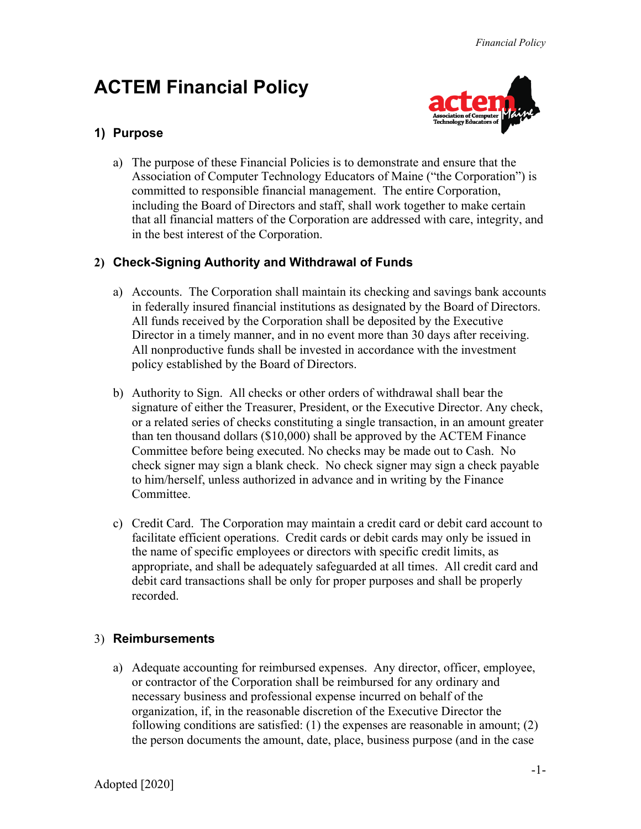# **ACTEM Financial Policy**



# **1) Purpose**

a) The purpose of these Financial Policies is to demonstrate and ensure that the Association of Computer Technology Educators of Maine ("the Corporation") is committed to responsible financial management. The entire Corporation, including the Board of Directors and staff, shall work together to make certain that all financial matters of the Corporation are addressed with care, integrity, and in the best interest of the Corporation.

## **2) Check-Signing Authority and Withdrawal of Funds**

- a) Accounts. The Corporation shall maintain its checking and savings bank accounts in federally insured financial institutions as designated by the Board of Directors. All funds received by the Corporation shall be deposited by the Executive Director in a timely manner, and in no event more than 30 days after receiving. All nonproductive funds shall be invested in accordance with the investment policy established by the Board of Directors.
- b) Authority to Sign. All checks or other orders of withdrawal shall bear the signature of either the Treasurer, President, or the Executive Director. Any check, or a related series of checks constituting a single transaction, in an amount greater than ten thousand dollars (\$10,000) shall be approved by the ACTEM Finance Committee before being executed. No checks may be made out to Cash. No check signer may sign a blank check. No check signer may sign a check payable to him/herself, unless authorized in advance and in writing by the Finance Committee.
- c) Credit Card. The Corporation may maintain a credit card or debit card account to facilitate efficient operations. Credit cards or debit cards may only be issued in the name of specific employees or directors with specific credit limits, as appropriate, and shall be adequately safeguarded at all times. All credit card and debit card transactions shall be only for proper purposes and shall be properly recorded.

### 3) **Reimbursements**

a) Adequate accounting for reimbursed expenses. Any director, officer, employee, or contractor of the Corporation shall be reimbursed for any ordinary and necessary business and professional expense incurred on behalf of the organization, if, in the reasonable discretion of the Executive Director the following conditions are satisfied: (1) the expenses are reasonable in amount; (2) the person documents the amount, date, place, business purpose (and in the case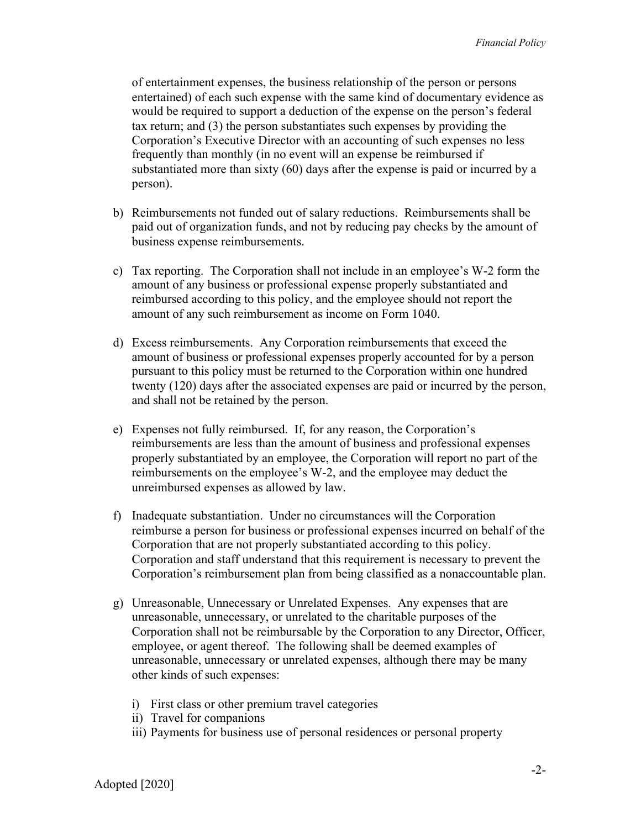of entertainment expenses, the business relationship of the person or persons entertained) of each such expense with the same kind of documentary evidence as would be required to support a deduction of the expense on the person's federal tax return; and (3) the person substantiates such expenses by providing the Corporation's Executive Director with an accounting of such expenses no less frequently than monthly (in no event will an expense be reimbursed if substantiated more than sixty (60) days after the expense is paid or incurred by a person).

- b) Reimbursements not funded out of salary reductions. Reimbursements shall be paid out of organization funds, and not by reducing pay checks by the amount of business expense reimbursements.
- c) Tax reporting. The Corporation shall not include in an employee's W-2 form the amount of any business or professional expense properly substantiated and reimbursed according to this policy, and the employee should not report the amount of any such reimbursement as income on Form 1040.
- d) Excess reimbursements. Any Corporation reimbursements that exceed the amount of business or professional expenses properly accounted for by a person pursuant to this policy must be returned to the Corporation within one hundred twenty (120) days after the associated expenses are paid or incurred by the person, and shall not be retained by the person.
- e) Expenses not fully reimbursed. If, for any reason, the Corporation's reimbursements are less than the amount of business and professional expenses properly substantiated by an employee, the Corporation will report no part of the reimbursements on the employee's W-2, and the employee may deduct the unreimbursed expenses as allowed by law.
- f) Inadequate substantiation. Under no circumstances will the Corporation reimburse a person for business or professional expenses incurred on behalf of the Corporation that are not properly substantiated according to this policy. Corporation and staff understand that this requirement is necessary to prevent the Corporation's reimbursement plan from being classified as a nonaccountable plan.
- g) Unreasonable, Unnecessary or Unrelated Expenses. Any expenses that are unreasonable, unnecessary, or unrelated to the charitable purposes of the Corporation shall not be reimbursable by the Corporation to any Director, Officer, employee, or agent thereof. The following shall be deemed examples of unreasonable, unnecessary or unrelated expenses, although there may be many other kinds of such expenses:
	- i) First class or other premium travel categories
	- ii) Travel for companions
	- iii) Payments for business use of personal residences or personal property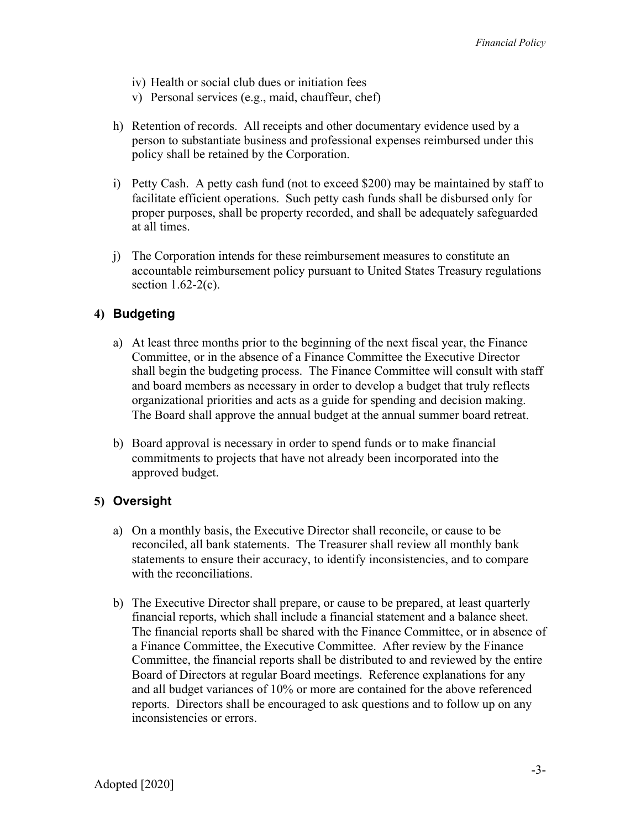- iv) Health or social club dues or initiation fees
- v) Personal services (e.g., maid, chauffeur, chef)
- h) Retention of records. All receipts and other documentary evidence used by a person to substantiate business and professional expenses reimbursed under this policy shall be retained by the Corporation.
- i) Petty Cash. A petty cash fund (not to exceed \$200) may be maintained by staff to facilitate efficient operations. Such petty cash funds shall be disbursed only for proper purposes, shall be property recorded, and shall be adequately safeguarded at all times.
- j) The Corporation intends for these reimbursement measures to constitute an accountable reimbursement policy pursuant to United States Treasury regulations section  $1.62-2(c)$ .

#### **4) Budgeting**

- a) At least three months prior to the beginning of the next fiscal year, the Finance Committee, or in the absence of a Finance Committee the Executive Director shall begin the budgeting process. The Finance Committee will consult with staff and board members as necessary in order to develop a budget that truly reflects organizational priorities and acts as a guide for spending and decision making. The Board shall approve the annual budget at the annual summer board retreat.
- b) Board approval is necessary in order to spend funds or to make financial commitments to projects that have not already been incorporated into the approved budget.

#### **5) Oversight**

- a) On a monthly basis, the Executive Director shall reconcile, or cause to be reconciled, all bank statements. The Treasurer shall review all monthly bank statements to ensure their accuracy, to identify inconsistencies, and to compare with the reconciliations.
- b) The Executive Director shall prepare, or cause to be prepared, at least quarterly financial reports, which shall include a financial statement and a balance sheet. The financial reports shall be shared with the Finance Committee, or in absence of a Finance Committee, the Executive Committee. After review by the Finance Committee, the financial reports shall be distributed to and reviewed by the entire Board of Directors at regular Board meetings. Reference explanations for any and all budget variances of 10% or more are contained for the above referenced reports. Directors shall be encouraged to ask questions and to follow up on any inconsistencies or errors.